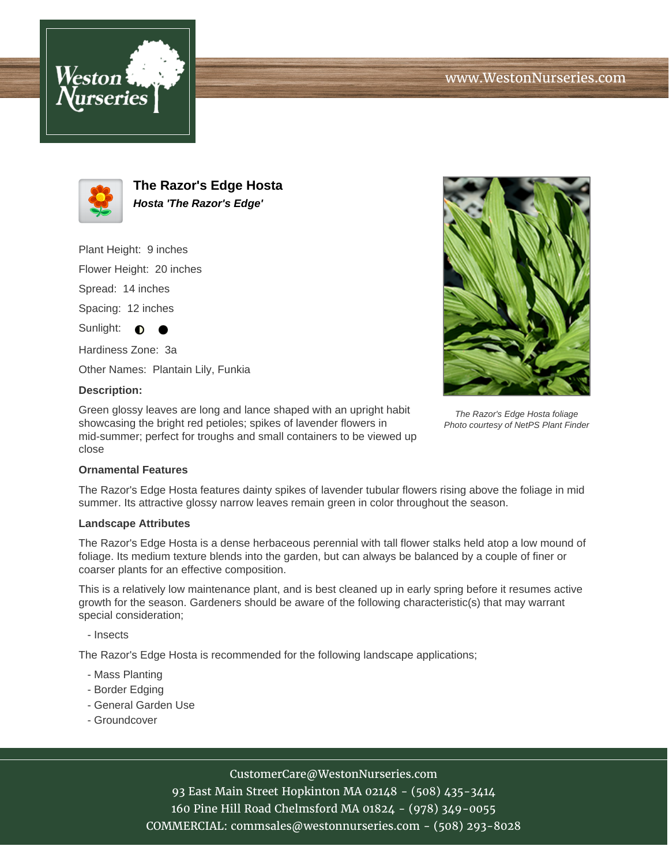



**The Razor's Edge Hosta Hosta 'The Razor's Edge'**

Plant Height: 9 inches

Flower Height: 20 inches

Spread: 14 inches

Spacing: 12 inches

Sunlight:  $\bigcirc$ 

Hardiness Zone: 3a

Other Names: Plantain Lily, Funkia

### **Description:**

Green glossy leaves are long and lance shaped with an upright habit showcasing the bright red petioles; spikes of lavender flowers in mid-summer; perfect for troughs and small containers to be viewed up close



The Razor's Edge Hosta foliage Photo courtesy of NetPS Plant Finder

### **Ornamental Features**

The Razor's Edge Hosta features dainty spikes of lavender tubular flowers rising above the foliage in mid summer. Its attractive glossy narrow leaves remain green in color throughout the season.

### **Landscape Attributes**

The Razor's Edge Hosta is a dense herbaceous perennial with tall flower stalks held atop a low mound of foliage. Its medium texture blends into the garden, but can always be balanced by a couple of finer or coarser plants for an effective composition.

This is a relatively low maintenance plant, and is best cleaned up in early spring before it resumes active growth for the season. Gardeners should be aware of the following characteristic(s) that may warrant special consideration;

- Insects

The Razor's Edge Hosta is recommended for the following landscape applications;

- Mass Planting
- Border Edging
- General Garden Use
- Groundcover

# CustomerCare@WestonNurseries.com

93 East Main Street Hopkinton MA 02148 - (508) 435-3414 160 Pine Hill Road Chelmsford MA 01824 - (978) 349-0055 COMMERCIAL: commsales@westonnurseries.com - (508) 293-8028